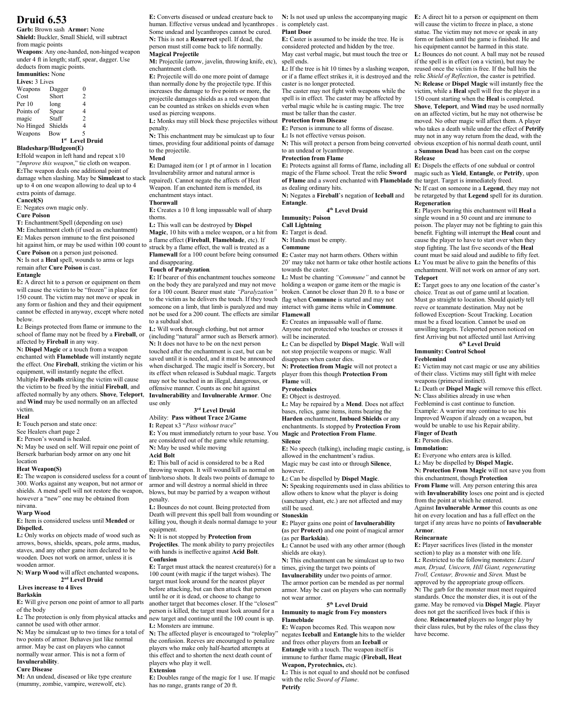# **Druid 6.53**

**Garb:** Brown sash **Armor:** None **Shield:** Buckler, Small Shield, will subtract from magic points

**Weapons**: Any one-handed, non-hinged weapon under 4 ft in length; staff, spear, dagger. Use deducts from magic points. **Immunities:** None

| Lives: 3 Lives |         |   |  |  |  |  |
|----------------|---------|---|--|--|--|--|
| Weapons        | Dagger  | 0 |  |  |  |  |
| Cost           | Short   | 2 |  |  |  |  |
| Per 10         | long    | 4 |  |  |  |  |
| Points of      | Spear   | 4 |  |  |  |  |
| magic          | Staff   | 2 |  |  |  |  |
| No Hinged      | Shields | 4 |  |  |  |  |
| Weapons        | Bow     | 5 |  |  |  |  |
|                |         |   |  |  |  |  |

# **1 st Level Druid**

# **Bladesharp/Bludgeon(E)**

**I:**Hold weapon in left hand and repeat x10 "*Improve this weapon*," tie cloth on weapon. **E:**The weapon deals one additional point of damage when slashing. May be **Simulcast** to stack up to 4 on one weapon allowing to deal up to 4 extra points of damage.

#### **Cancel(S)**

E: Negates own magic only.

# **Cure Poison**

**T:** Enchantment/Spell (depending on use) **M:** Enchantment cloth (if used as enchantment) **E:** Makes person immune to the first poisoned hit against him, or may be used within 100 count to **Cure Poison** on a person just poisoned.

**N:** Is not a **Heal** spell, wounds to arms or legs remain after **Cure Poison** is cast.

#### **Entangle**

**E:** A direct hit to a person or equipment on them will cause the victim to be "frozen" in place for 150 count. The victim may not move or speak in any form or fashion and they and their equipment cannot be effected in anyway, except where noted below.

**L:** Beings protected from flame or immune to the school of flame may not be freed by a **Fireball**, or affected by **Fireball** in any way.

**N: Dispel Magic** or a touch from a weapon enchanted with **Flameblade** will instantly negate the effect. One **Fireball**, striking the victim or his equipment, will instantly negate the effect. Multiple **Fireballs** striking the victim will cause the victim to be freed by the initial **Fireball**, and affected normally by any others. **Shove**, **Teleport**, and **Wind** may be used normally on an affected victim. **Heal**

**I:** Touch person and state once:

See Healers chart page 2

**E:** Person's wound is healed.

**N:** May be used on self. Will repair one point of Berserk barbarian body armor on any one hit

#### location **Heat Weapon(S)**

**E:** The weapon is considered useless for a count of limb/torso shots. It deals two points of damage to 300. Works against any weapon, but not armor or shields. A mend spell will not restore the weapon, however a "new" one may be obtained from nirvana.

# **Warp Wood**

**E:** Item is considered useless until **Mended** or **Dispelled.**

**L:** Only works on objects made of wood such as arrows, bows, shields, spears, pole arms, madus, staves, and any other game item declared to be wooden. Does not work on armor, unless it is wooden armor.

#### **N: Warp Wood** will affect enchanted weapons**. 2 nd Level Druid Lives increase to 4 lives**

## **Barkskin**

**E:** Will give person one point of armor to all parts

of the body

cannot be used with other armor.

**N:** May be simulcast up to two times for a total of two points of armor. Behaves just like normal armor. May be cast on players who cannot normally wear armor. This is not a form of

#### **Invulnerability**.

# **Cure Disease**

**M:** An undead, diseased or like type creature (mummy, zombie, vampire, werewolf, etc).

**E:** Converts diseased or undead creature back to human. Effective versus undead and lycanthropes Some undead and lycanthropes cannot be cured. **N:** This is not a **Resurrect** spell. If dead, the person must still come back to life normally. **Magical Projectile**

**M:** Projectile (arrow, javelin, throwing knife, etc), enchantment cloth.

**E:** Projectile will do one more point of damage than normally done by the projectile type. If this increases the damage to five points or more, the projectile damages shields as a red weapon that can be counted as strikes on shields even when used as piercing weapons.

L: Monks may still block these projectiles without penalty.

**N:** This enchantment may be simulcast up to four times, providing four additional points of damage to the projectile.

# **Mend**

**E:** Damaged item (or 1 pt of armor in 1 location Invulnerability armor and natural armor is repaired). Cannot negate the affects of Heat Weapon. If an enchanted item is mended, its enchantment stays intact.

**Thornwall E:** Creates a 10 ft long impassable wall of sharp thorns.

**L:** This wall can be destroyed by **Dispel**

**Magic**, 10 hits with a melee weapon, or a hit from a flame effect (**Fireball**, **Flameblade**, etc). If

struck by a flame effect, the wall is treated as a **Flamewall** for a 100 count before being consumed

#### and disappearing.

#### **Touch of Paralyzation***.*

**E:** If bearer of this enchantment touches someone on the body they are paralyzed and may not move for a 100 count. Bearer must state *"Paralyzation"* to the victim as he delivers the touch. If they touch someone on a limb, that limb is paralyzed and may interact with game items while in **Commune**. not be used for a 200 count. The effects are similar **Flamewall** to a subdual shot.

**L:** Will work through clothing, but not armor (including "natural" armor such as Berserk armor). **N:** It does not have to be on the next person touched after the enchantment is cast, but can be saved until it is needed, and it must be announced when discharged. The magic itself is Sorcery, but its effect when released is Subdual magic. Targets may not be touched in an illegal, dangerous, or offensive manner. Counts as one hit against **Invulnerability** and **Invulnerable Armor**. One use only

## **3 rd Level Druid**

Ability: **Pass without Trace 2/Game I:** Repeat x3 "*Pass without trace*"

**E:** You must immediately return to your base. You are considered out of the game while returning. **N:** May be used while moving

#### **Acid Bolt**

**E:** This ball of acid is considered to be a Red throwing weapon. It will wound/kill as normal on armor and will destroy a normal shield in three blows, but may be parried by a weapon without penalty.

**L:** Bounces do not count. Being protected from Death will prevent this spell ball from wounding or killing you, though it deals normal damage to your equipment.

#### **N:** It is not stopped by **Protection from**

**Projectiles**. The monk ability to parry projectiles with hands is ineffective against **Acid Bolt**. **Confusion E:** Target must attack the nearest creature(s) for a 100 count (with magic if the target wishes). The

L: The protection is only from physical attacks and new target and continue until the 100 count is up. target must look around for the nearest player before attacking, but can then attack that person until he or it is dead, or choose to change to another target that becomes closer. If the "closest" person is killed, the target must look around for a

> **L:** Monsters are immune. **N:** The affected player is encouraged to "roleplay"

the confusion. Reeves are encouraged to penalize players who make only half-hearted attempts at this effect and to shorten the next death count of players who play it well.

#### **Extension**

**E:** Doubles range of the magic for 1 use. If magic has no range, grants range of 20 ft.

**N:** Is not used up unless the accompanying magic **E:** A direct hit to a person or equipment on them is completely cast.

will cause the victim to freeze in place, a stone statue. The victim may not move or speak in any form or fashion until the game is finished. He and his equipment cannot be harmed in this state. **L:** Bounces do not count. A ball may not be reused if the spell is in effect (on a victim), but may be reused once the victim is free. If the ball hits the **N: Release** or **Dispel Magic** will instantly free the victim, while a **Heal** spell will free the player in a 150 count starting when the **Heal** is completed. **Shove**, **Teleport**, and **Wind** may be used normally on an affected victim, but he may not otherwise be moved. No other magic will affect them. A player who takes a death while under the effect of **Petrify** may not in any way return from the dead, with the

be retargeted by that **Legend** spell for its duration.

**E:** Players bearing this enchantment will **Heal** a single wound in a 50 count and are immune to poison. The player may not be fighting to gain this benefit. Fighting will interrupt the **Heal** count and cause the player to have to start over when they stop fighting. The last five seconds of the **Heal** count must be said aloud and audible to fifty feet. enchantment. Will not work on armor of any sort.

**E:** Target goes to any one location of the caster's choice. Treat as out of game until at location. Must go straight to location. Should quietly tell reeve or teammate destination. May not be followed Exception- Scout Tracking. Location must be a fixed location. Cannot be used on unwilling targets. Teleported person noticed on first Arriving but not affected until last Arriving **6 th Level Druid**

**E:** Victim may not cast magic or use any abilities of their class. Victims may still fight with melee

**L:** Death or **Dispel Magic** will remove this effect. **N:** Class abilities already in use when Feeblemind is cast continue to function. Example: A warrior may continue to use his Improved Weapon if already on a weapon, but would be unable to use his Repair ability.

**Regeneration**

**Teleport**

**Feeblemind**

**Finger of Death E:** Person dies.

**Armor**. **Reincarnate**

have become.

**Immunity: Control School**

weapons (primeval instinct).

**E:** Everyone who enters area is killed. **L:** May be dispelled by **Dispel Magic. N: Protection From Magic** will not save you from

this enchantment, though **Protection From Flame** will. Any person entering this area with **Invulnerability** loses one point and is ejected

from the point at which he entered.

Against **Invulnerable Armor** this counts as one hit on every location and has a full effect on the target if any areas have no points of **Invulnerable**

**E:** Player sacrifices lives (listed in the monster section) to play as a monster with one life. **L:** Restricted to the following monsters: *Lizard man, Dryad, Unicorn, Hill Giant, regenerating Troll, Centaur, Brownie* and *Siren.* Must be approved by the appropriate group officers. **N:** The garb for the monster must meet required standards. Once the monster dies, it is out of the game. May be removed via **Dispel Magic**. Player does not get the sacrificed lives back if this is done. **Reincarnated** players no longer play by their class rules, but by the rules of the class they

#### **Plant Door**

**E:** Caster is assumed to be inside the tree. He is considered protected and hidden by the tree. May cast verbal magic, but must touch the tree or spell ends.

**L:** If the tree is hit 10 times by a slashing weapon, or if a flame effect strikes it, it is destroyed and the relic *Shield of Reflection*, the caster is petrified. caster is no longer protected.

The caster may not fight with weapons while the spell is in effect. The caster may be affected by verbal magic while he is casting magic. The tree must be taller than the caster.

# **Protection from Disease**

**E:** Person is immune to all forms of disease.

**L:** Is not effective versus poison. **N:** This will protect a person from being converted

to an undead or lycanthrope. obvious exception of his normal death count, until a **Summon Dead** has been cast on the corpse **Release**

# **Protection from Flame**

**E:** Protects against all forms of flame, including all **E:** Dispels the effects of one subdual or control magic of the Flame school. Treat the relic **Sword** magic such as **Yield**, **Entangle**, or **Petrify**, upon **of Flame** and a sword enchanted with **Flameblade** the target. Target is immediately freed. as dealing ordinary hits. **N:** If cast on someone in a **Legend**, they may not

**N:** Negates a **Fireball**'s negation of **Iceball** and **Entangle**.

## **4 th Level Druid**

**Immunity: Poison Call Lightning**

# **E:** Target is dead.

**N:** Hands must be empty.

**Commune**

**E:** Caster may not harm others. Others within 20' may take not harm or take other hostile actions **L:** You must be alive to gain the benefits of this towards the caster.

**L:** Must be chanting *"Commune"* and cannot be holding a weapon or game item or the magic is broken. Cannot be closer than 20 ft. to a base or flag when **Commune** is started and may not

**E:** Creates an impassable wall of flame. Anyone not protected who touches or crosses it will be incinerated.

**L:** Can be dispelled by **Dispel Magic**. Wall will not stop projectile weapons or magic. Wall disappears when caster dies.

**N: Protection from Magic** will not protect a player from this though **Protection From Flame** will.

#### **Pyrotechnics**

**E:** Object is destroyed.

**L:** May be repaired by a **Mend**. Does not affect bases, relics, game items, items bearing the **Harden** enchantment, **Imbued Shields** or any enchantments. Is stopped by **Protection From Magic** and **Protection From Flame**.

#### **Silence**

**E:** No speech (talking), including magic casting, is **Immolation:** allowed in the enchantment's radius. Magic may be cast into or through **Silence**, however.

#### **L:** Can be dispelled by **Dispel Magic**.

**N:** Speaking requirements used in class abilities to allow others to know what the player is doing (sanctuary chant, etc.) are not affected and may still be used.

# **Stoneskin**

**E:** Player gains one point of **Invulnerability (**as per **Protect)** and one point of magical armor (as per **Barkskin**).

**L:** Cannot be used with any other armor (though shields are okay).

**N:** This enchantment can be simulcast up to two times, giving the target two points of

**Invulnerability** under two points of armor. The armor portion can be mended as per normal armor. May be cast on players who can normally not wear armor.

#### **5 th Level Druid Immunity to magic from Fey monsters Flameblade**

**E:** Weapon becomes Red. This weapon now negates **Iceball** and **Entangle** hits to the wielder and frees other players from an **Iceball** or **Entangle** with a touch. The weapon itself is

immune to further flame magic (**Fireball, Heat Weapon, Pyrotechnics,** etc). **L:** This is not equal to and should not be confused

with the relic *Sword of Flame*.

**Petrify**